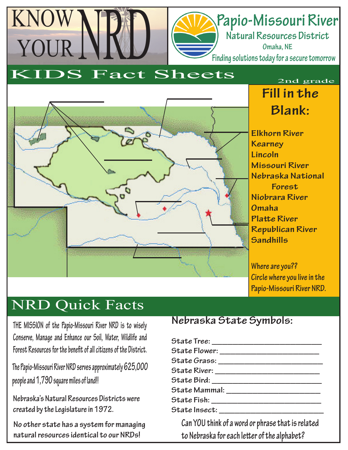# **Papio-Missouri River**

**Natural Resources District Omaha, NE Finding solutions today for a secure tomorrow**

### KIDS Fact Sheets

KNOW

YOUR



### **Fill in the Blank:** 2nd grade

**Elkhorn River Kearney Lincoln Missouri River Nebraska National Forest Niobrara River Omaha Platte River Republican River Sandhills**

**Where are you?? Circle where you live in the Papio-Missouri River NRD.**

## NRD Quick Facts

**THE MISSION of the Papio-Missouri River NRD is to wisely Conserve, Manage and Enhance our Soil, Water, Wildlife and**  Forest Resources for the benefit of all citizens of the District.

**The Papio-Missouri River NRD serves approximately 625,000 people and 1,790 square miles of land!!**

**Nebraska's Natural Resources Districts were created by the Legislature in 1972.**

**No other state has a system for managing natural resources identical to our NRDs!**

#### **Nebraska State Symbols:**

| State Flower: __________________________           |
|----------------------------------------------------|
| State Grass: __________________________            |
|                                                    |
|                                                    |
| State Mammal: _______________________              |
|                                                    |
|                                                    |
| Can VOI blish af a wend an ulma a shlati a ndata d |

**Can YOU think of a word or phrase that is related**  to Nebraska for each letter of the alphabet?